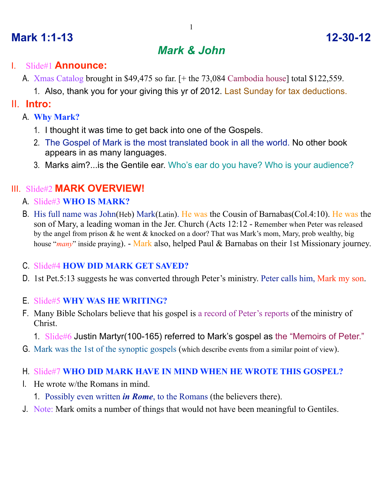# **Mark 1:1-13** 12-30-12

# *Mark & John*

### I. Slide#1 **Announce:**

A. Xmas Catalog brought in \$49,475 so far. [+ the 73,084 Cambodia house] total \$122,559.

1. Also, thank you for your giving this yr of 2012. Last Sunday for tax deductions.

## II. **Intro:**

- A. **Why Mark?**
	- 1. I thought it was time to get back into one of the Gospels.
	- 2. The Gospel of Mark is the most translated book in all the world. No other book appears in as many languages.
	- 3. Marks aim?...is the Gentile ear. Who's ear do you have? Who is your audience?

## III. Slide#2 **MARK OVERVIEW!**

#### A. Slide#3 **WHO IS MARK?**

B. His full name was John(Heb) Mark(Latin). He was the Cousin of Barnabas(Col.4:10). He was the son of Mary, a leading woman in the Jer. Church (Acts 12:12 - Remember when Peter was released by the angel from prison & he went & knocked on a door? That was Mark's mom, Mary, prob wealthy, big house "*many*" inside praying). - Mark also, helped Paul & Barnabas on their 1st Missionary journey.

#### C. Slide#4 **HOW DID MARK GET SAVED?**

D. 1st Pet.5:13 suggests he was converted through Peter's ministry. Peter calls him, Mark my son.

#### E. Slide#5 **WHY WAS HE WRITING?**

- F. Many Bible Scholars believe that his gospel is a record of Peter's reports of the ministry of Christ.
	- 1. Slide#6 Justin Martyr(100-165) referred to Mark's gospel as the "Memoirs of Peter."
- G. Mark was the 1st of the synoptic gospels (which describe events from a similar point of view).

#### H. Slide#7 **WHO DID MARK HAVE IN MIND WHEN HE WROTE THIS GOSPEL?**

- I. He wrote w/the Romans in mind.
	- 1. Possibly even written *in Rome*, to the Romans (the believers there).
- J. Note: Mark omits a number of things that would not have been meaningful to Gentiles.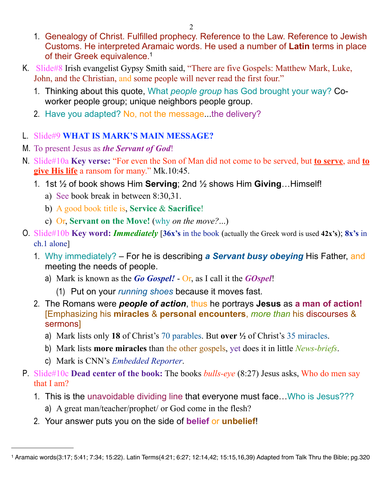- 1. Genealogy of Christ. Fulfilled prophecy. Reference to the Law. Reference to Jewish Customs. He interpreted Aramaic words. He used a number of **Latin** terms in place of their Greek equivalence[.1](#page-1-0)
- K. Slide#8 Irish evangelist Gypsy Smith said, "There are five Gospels: Matthew Mark, Luke, John, and the Christian, and some people will never read the first four."
	- 1. Thinking about this quote, What *people group* has God brought your way? Coworker people group; unique neighbors people group.
	- 2. Have you adapted? No, not the message...the delivery?

#### L. Slide#9 **WHAT IS MARK'S MAIN MESSAGE?**

- M. To present Jesus as *the Servant of God*!
- N. Slide#10a **Key verse:** "For even the Son of Man did not come to be served, but **to serve**, and **to give His life** a ransom for many." Mk.10:45.
	- 1. 1st ½ of book shows Him **Serving**; 2nd ½ shows Him **Giving**…Himself!
		- a) See book break in between 8:30,31.
		- b) A good book title is, **Service** & **Sacrifice**!
		- c) Or, **Servant on the Move!** (why *on the move?*...)
- O. Slide#10b **Key word:** *Immediately* [**36x's** in the book (actually the Greek word is used **42x's**); **8x's** in ch.1 alone]
	- 1. Why immediately? For he is describing *a Servant busy obeying* His Father, and meeting the needs of people.
		- a) Mark is known as the *Go Gospel!* Or, as I call it the *GOspel*!
			- (1) Put on your *running shoes* because it moves fast.
	- 2. The Romans were *people of action*, thus he portrays **Jesus** as **a man of action!** [Emphasizing his **miracles** & **personal encounters**, *more than* his discourses & sermons]
		- a) Mark lists only **18** of Christ's 70 parables. But **over ½** of Christ's 35 miracles.
		- b) Mark lists **more miracles** than the other gospels, yet does it in little *News-briefs*.
		- c) Mark is CNN's *Embedded Reporter*.
- P. Slide#10c **Dead center of the book:** The books *bulls-eye* (8:27) Jesus asks, Who do men say that I am?
	- 1. This is the unavoidable dividing line that everyone must face…Who is Jesus???
		- a) A great man/teacher/prophet/ or God come in the flesh?
	- 2. Your answer puts you on the side of **belief** or **unbelief**!

<span id="page-1-0"></span><sup>1</sup> Aramaic words(3:17; 5:41; 7:34; 15:22). Latin Terms(4:21; 6:27; 12:14,42; 15:15,16,39) Adapted from Talk Thru the Bible; pg.320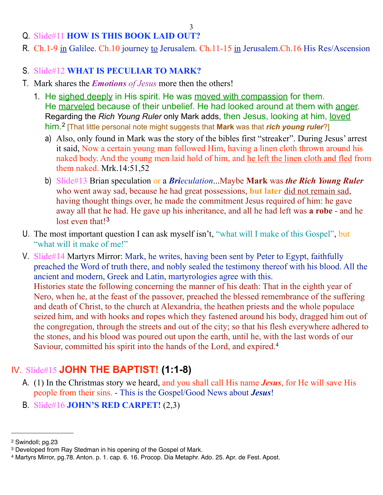#### Q. Slide#11 **HOW IS THIS BOOK LAID OUT?**

R. Ch.1-9 in Galilee. Ch.10 journey to Jerusalem. Ch.11-15 in Jerusalem.Ch.16 His Res/Ascension

#### S. Slide#12 **WHAT IS PECULIAR TO MARK?**

- T. Mark shares the *Emotions of Jesus* more then the others!
	- 1. He sighed deeply in His spirit. He was moved with compassion for them. He marveled because of their unbelief. He had looked around at them with anger. Regarding the *Rich Young Ruler* only Mark adds, then Jesus, looking at him, loved him.[2](#page-2-0) [That little personal note might suggests that **Mark** was that *rich young ruler*?]
		- a) Also, only found in Mark was the story of the bibles first "streaker". During Jesus' arrest it said, Now a certain young man followed Him, having a linen cloth thrown around his naked body. And the young men laid hold of him, and he left the linen cloth and fled from them naked. Mrk.14:51,52
		- b) Slide#13 Brian speculation or a *Brieculation*...Maybe **Mark** was *the Rich Young Ruler* who went away sad, because he had great possessions, **but later** did not remain sad, having thought things over, he made the commitment Jesus required of him: he gave away all that he had. He gave up his inheritance, and all he had left was **a robe** - and he lost even that!<sup>[3](#page-2-1)</sup>
- U. The most important question I can ask myself isn't, "what will I make of this Gospel", but "what will it make of me!"
- V. Slide#14 Martyrs Mirror: Mark, he writes, having been sent by Peter to Egypt, faithfully preached the Word of truth there, and nobly sealed the testimony thereof with his blood. All the ancient and modern, Greek and Latin, martyrologies agree with this. Histories state the following concerning the manner of his death: That in the eighth year of Nero, when he, at the feast of the passover, preached the blessed remembrance of the suffering and death of Christ, to the church at Alexandria, the heathen priests and the whole populace seized him, and with hooks and ropes which they fastened around his body, dragged him out of the congregation, through the streets and out of the city; so that his flesh everywhere adhered to the stones, and his blood was poured out upon the earth, until he, with the last words of our Saviour, committed his spirit into the hands of the Lord, and expired.[4](#page-2-2)

# IV. Slide#15 **JOHN THE BAPTIST! (1:1-8)**

- A. (1) In the Christmas story we heard, and you shall call His name *Jesus*, for He will save His people from their sins. - This is the Gospel/Good News about *Jesus*!
- B. Slide#16 **JOHN'S RED CARPET!** (2,3)

<span id="page-2-0"></span><sup>2</sup> Swindoll; pg.23

<span id="page-2-1"></span><sup>3</sup> Developed from Ray Stedman in his opening of the Gospel of Mark.

<span id="page-2-2"></span><sup>4</sup> Martyrs Mirror, pg.78. Anton. p. 1. cap. 6. 16. Procop. Dia Metaphr. Ado. 25. Apr. de Fest. Apost.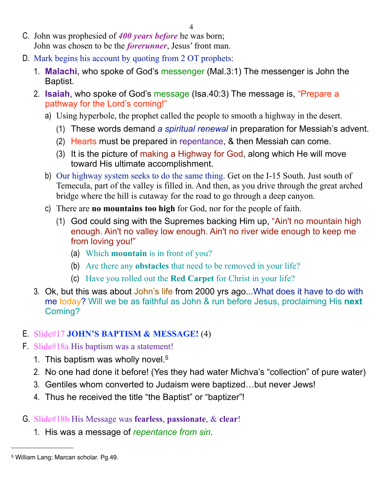- C. John was prophesied of *400 years before* he was born; John was chosen to be the *forerunner*, Jesus' front man.
- D. Mark begins his account by quoting from 2 OT prophets:
	- 1. **Malachi**, who spoke of God's messenger (Mal.3:1) The messenger is John the Baptist.
	- 2. **Isaiah**, who spoke of God's message (Isa.40:3) The message is, "Prepare a pathway for the Lord's coming!"
		- a) Using hyperbole, the prophet called the people to smooth a highway in the desert.
			- (1) These words demand *a spiritual renewal* in preparation for Messiah's advent.
			- (2) Hearts must be prepared in repentance, & then Messiah can come.
			- (3) It is the picture of making a Highway for God, along which He will move toward His ultimate accomplishment.
		- b) Our highway system seeks to do the same thing. Get on the I-15 South. Just south of Temecula, part of the valley is filled in. And then, as you drive through the great arched bridge where the hill is cutaway for the road to go through a deep canyon.
		- c) There are **no mountains too high** for God, nor for the people of faith.
			- (1) God could sing with the Supremes backing Him up, "Ain't no mountain high enough. Ain't no valley low enough. Ain't no river wide enough to keep me from loving you!"
				- (a) Which **mountain** is in front of you?
				- (b) Are there any **obstacles** that need to be removed in your life?
				- (c) Have you rolled out the **Red Carpet** for Christ in your life?
	- 3. Ok, but this was about John's life from 2000 yrs ago...What does it have to do with me today? Will we be as faithful as John & run before Jesus, proclaiming His **next** Coming?

#### E. Slide#17 **JOHN'S BAPTISM & MESSAGE!** (4)

- F. Slide#18a His baptism was a statement!
	- 1. This baptism was wholly novel[.5](#page-3-0)
	- 2. No one had done it before! (Yes they had water Michva's "collection" of pure water)
	- 3. Gentiles whom converted to Judaism were baptized…but never Jews!
	- 4. Thus he received the title "the Baptist" or "baptizer"!
- G. Slide#18b His Message was **fearless**, **passionate**, & **clear**!
	- 1. His was a message of *repentance from sin*.

<span id="page-3-0"></span><sup>5</sup> William Lang; Marcan scholar. Pg.49.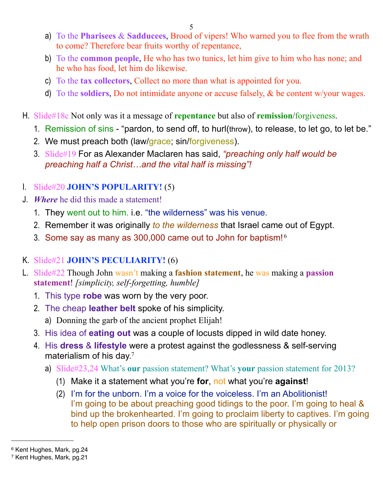- a) To the **Pharisees** & **Sadducees**, Brood of vipers! Who warned you to flee from the wrath to come? Therefore bear fruits worthy of repentance,
- b) To the **common people**, He who has two tunics, let him give to him who has none; and he who has food, let him do likewise.
- c) To the **tax collectors**, Collect no more than what is appointed for you.
- d) To the **soldiers**, Do not intimidate anyone or accuse falsely, & be content w/your wages.
- H. Slide#18c Not only was it a message of **repentance** but also of **remission**/forgiveness.
	- 1. Remission of sins "pardon, to send off, to hurl(throw), to release, to let go, to let be."
	- 2. We must preach both (law/grace; sin/forgiveness).
	- 3. Slide#19 For as Alexander Maclaren has said, *"preaching only half would be preaching half a Christ…and the vital half is missing"!*

### I. Slide#20 **JOHN'S POPULARITY!** (5)

- J. *Where* he did this made a statement!
	- 1. They went out to him. i.e. "the wilderness" was his venue.
	- 2. Remember it was originally *to the wilderness* that Israel came out of Egypt.
	- 3. Some say as many as 300,000 came out to John for baptism! [6](#page-4-0)
- K. Slide#21 **JOHN'S PECULIARITY!** (6)
- L. Slide#22 Though John wasn't making a **fashion statement**, he was making a **passion statement**! *[simplicity, self-forgetting, humble]*
	- 1. This type **robe** was worn by the very poor.
	- 2. The cheap **leather belt** spoke of his simplicity.
		- a) Donning the garb of the ancient prophet Elijah!
	- 3. His idea of **eating out** was a couple of locusts dipped in wild date honey.
	- 4. His **dress** & **lifestyle** were a protest against the godlessness & self-serving materialism of his day.<sup>[7](#page-4-1)</sup>
		- a) Slide#23,24 What's **our** passion statement? What's **your** passion statement for 2013?
			- (1) Make it a statement what you're **for**, not what you're **against**!
			- (2) I'm for the unborn. I'm a voice for the voiceless. I'm an Abolitionist! I'm going to be about preaching good tidings to the poor. I'm going to heal & bind up the brokenhearted. I'm going to proclaim liberty to captives. I'm going to help open prison doors to those who are spiritually or physically or

<span id="page-4-0"></span><sup>6</sup> Kent Hughes, Mark, pg.24

<span id="page-4-1"></span><sup>7</sup> Kent Hughes, Mark, pg.21